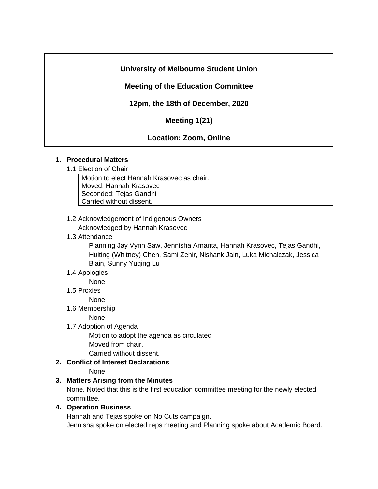# **University of Melbourne Student Union**

**Meeting of the Education Committee**

**12pm, the 18th of December, 2020**

**Meeting 1(21)**

# **Location: Zoom, Online**

#### **1. Procedural Matters**

1.1 Election of Chair

Motion to elect Hannah Krasovec as chair. Moved: Hannah Krasovec Seconded: Tejas Gandhi Carried without dissent.

1.2 Acknowledgement of Indigenous Owners

Acknowledged by Hannah Krasovec

1.3 Attendance

Planning Jay Vynn Saw, Jennisha Arnanta, Hannah Krasovec, Tejas Gandhi, Huiting (Whitney) Chen, Sami Zehir, Nishank Jain, Luka Michalczak, Jessica Blain, Sunny Yuqing Lu

1.4 Apologies

None

1.5 Proxies

None

1.6 Membership

None

1.7 Adoption of Agenda

Motion to adopt the agenda as circulated Moved from chair. Carried without dissent.

# **2. Conflict of Interest Declarations**

None

## **3. Matters Arising from the Minutes**

None. Noted that this is the first education committee meeting for the newly elected committee.

## **4. Operation Business**

Hannah and Tejas spoke on No Cuts campaign. Jennisha spoke on elected reps meeting and Planning spoke about Academic Board.